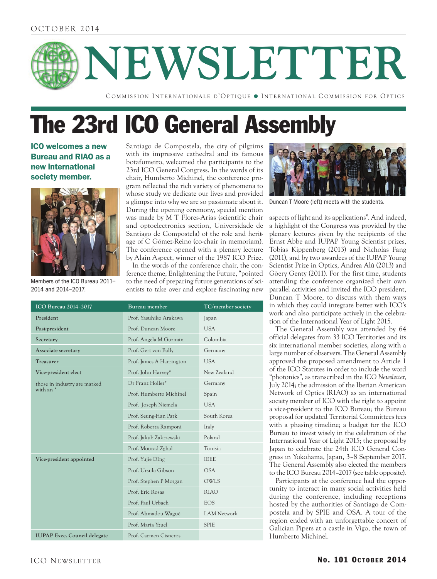# **NEWSLETTER**

COMMISSION INTERNATIONALE D'OPTIQUE · INTERNATIONAL COMMISSION FOR OPTICS

# The 23rd ICO General Assembly

ICO welcomes a new Bureau and RIAO as a new international society member.



Members of the ICO Bureau 2011– 2014 and 2014–2017.

Santiago de Compostela, the city of pilgrims with its impressive cathedral and its famous botafumeiro, welcomed the participants to the 23rd ICO General Congress. In the words of its chair, Humberto Michinel, the conference program reflected the rich variety of phenomena to whose study we dedicate our lives and provided a glimpse into why we are so passionate about it. During the opening ceremony, special mention was made by M T Flores-Arias (scientific chair and optoelectronics section, Universidade de Santiago de Compostela) of the role and heritage of C Gómez-Reino (co-chair in memoriam). The conference opened with a plenary lecture by Alain Aspect, winner of the 1987 ICO Prize.

In the words of the conference chair, the conference theme, Enlightening the Future, "pointed to the need of preparing future generations of scientists to take over and explore fascinating new

| <b>ICO Bureau 2014-2017</b>               | Bureau member            | TC/member society  |
|-------------------------------------------|--------------------------|--------------------|
| President                                 | Prof. Yasuhiko Arakawa   | Japan              |
| Past-president                            | Prof. Duncan Moore       | USA.               |
| Secretary                                 | Prof. Angela M Guzmán    | Colombia           |
| Associate secretary                       | Prof. Gert von Bally     | Germany            |
| <b>Treasurer</b>                          | Prof. James A Harrington | <b>USA</b>         |
| Vice-president elect                      | Prof. John Harvey*       | New Zealand        |
| those in industry are marked<br>with an * | Dr Franz Holler*         | Germany            |
|                                           | Prof. Humberto Michinel  | Spain              |
|                                           | Prof. Joseph Niemela     | <b>USA</b>         |
|                                           | Prof. Seung-Han Park     | South Korea        |
|                                           | Prof. Roberta Ramponi    | Italy              |
|                                           | Prof. Jakub Zakrzewski   | Poland             |
|                                           | Prof. Mourad Zghal       | Tunisia            |
| Vice-president appointed                  | Prof. Yujie DIng         | <b>IEEE</b>        |
|                                           | Prof. Ursula Gibson      | <b>OSA</b>         |
|                                           | Prof. Stephen P Morgan   | OWLS               |
|                                           | Prof. Eric Rosas         | <b>RIAO</b>        |
|                                           | Prof. Paul Urbach        | <b>EOS</b>         |
|                                           | Prof. Ahmadou Wagué      | <b>LAM Network</b> |
|                                           | Prof. María Yzuel        | <b>SPIE</b>        |
| <b>IUPAP Exec. Council delegate</b>       | Prof. Carmen Cisneros    |                    |



Duncan T Moore (left) meets with the students.

aspects of light and its applications". And indeed, a highlight of the Congress was provided by the plenary lectures given by the recipients of the Ernst Abbe and IUPAP Young Scientist prizes, Tobias Kippenberg (2013) and Nicholas Fang (2011), and by two awardees of the IUPAP Young Scientist Prize in Optics, Andrea Alú (2013) and Göery Genty (2011). For the first time, students attending the conference organized their own parallel activities and invited the ICO president, Duncan T Moore, to discuss with them ways in which they could integrate better with ICO's work and also participate actively in the celebration of the International Year of Light 2015.

The General Assembly was attended by 64 official delegates from 33 ICO Territories and its six international member societies, along with a large number of observers. The General Assembly approved the proposed amendment to Article 1 of the ICO Statutes in order to include the word "photonics", as transcribed in the *ICO Newsletter*, July 2014; the admission of the Iberian American Network of Optics (RIAO) as an international society member of ICO with the right to appoint a vice-president to the ICO Bureau; the Bureau proposal for updated Territorial Committees fees with a phasing timeline; a budget for the ICO Bureau to invest wisely in the celebration of the International Year of Light 2015; the proposal by Japan to celebrate the 24th ICO General Congress in Yokohama, Japan, 3–8 September 2017. The General Assembly also elected the members to the ICO Bureau 2014–2017 (see table opposite).

Participants at the conference had the opportunity to interact in many social activities held during the conference, including receptions hosted by the authorities of Santiago de Compostela and by SPIE and OSA. A tour of the region ended with an unforgettable concert of Galician Pipers at a castle in Vigo, the town of Humberto Michinel.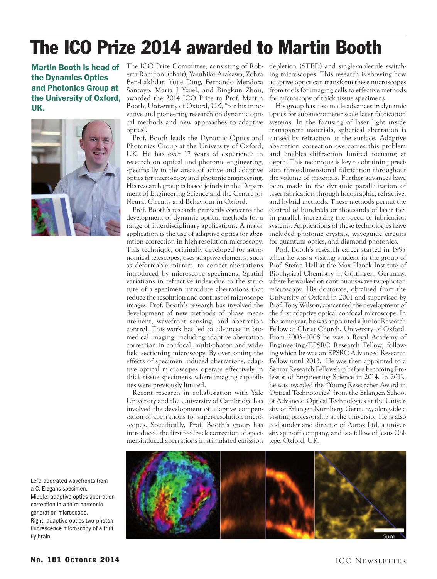# The ICO Prize 2014 awarded to Martin Booth

Martin Booth is head of the Dynamics Optics and Photonics Group at the University of Oxford, UK.



The ICO Prize Committee, consisting of Roberta Ramponi (chair), Yasuhiko Arakawa, Zohra Ben-Lakhdar, Yujie Ding, Fernando Mendoza Santoyo, Maria J Yzuel, and Bingkun Zhou, awarded the 2014 ICO Prize to Prof. Martin Booth, University of Oxford, UK, "for his innovative and pioneering research on dynamic optical methods and new approaches to adaptive optics".

Prof. Booth leads the Dynamic Optics and Photonics Group at the University of Oxford, UK. He has over 17 years of experience in research on optical and photonic engineering, specifically in the areas of active and adaptive optics for microscopy and photonic engineering. His research group is based jointly in the Department of Engineering Science and the Centre for Neural Circuits and Behaviour in Oxford.

Prof. Booth's research primarily concerns the development of dynamic optical methods for a range of interdisciplinary applications. A major application is the use of adaptive optics for aberration correction in high-resolution microscopy. This technique, originally developed for astronomical telescopes, uses adaptive elements, such as deformable mirrors, to correct aberrations introduced by microscope specimens. Spatial variations in refractive index due to the structure of a specimen introduce aberrations that reduce the resolution and contrast of microscope images. Prof. Booth's research has involved the development of new methods of phase measurement, wavefront sensing, and aberration control. This work has led to advances in biomedical imaging, including adaptive aberration correction in confocal, multi-photon and widefield sectioning microscopy. By overcoming the effects of specimen induced aberrations, adaptive optical microscopes operate effectively in thick tissue specimens, where imaging capabilities were previously limited.

Recent research in collaboration with Yale University and the University of Cambridge has involved the development of adaptive compensation of aberrations for super-resolution microscopes. Specifically, Prof. Booth's group has introduced the first feedback correction of specimen-induced aberrations in stimulated emission depletion (STED) and single-molecule switching microscopes. This research is showing how adaptive optics can transform these microscopes from tools for imaging cells to effective methods for microscopy of thick tissue specimens.

His group has also made advances in dynamic optics for sub-micrometer scale laser fabrication systems. In the focusing of laser light inside transparent materials, spherical aberration is caused by refraction at the surface. Adaptive aberration correction overcomes this problem and enables diffraction limited focusing at depth. This technique is key to obtaining precision three-dimensional fabrication throughout the volume of materials. Further advances have been made in the dynamic parallelization of laser fabrication through holographic, refractive, and hybrid methods. These methods permit the control of hundreds or thousands of laser foci in parallel, increasing the speed of fabrication systems. Applications of these technologies have included photonic crystals, waveguide circuits for quantum optics, and diamond photonics.

Prof. Booth's research career started in 1997 when he was a visiting student in the group of Prof. Stefan Hell at the Max Planck Institute of Biophysical Chemistry in Göttingen, Germany, where he worked on continuous-wave two-photon microscopy. His doctorate, obtained from the University of Oxford in 2001 and supervised by Prof. Tony Wilson, concerned the development of the first adaptive optical confocal microscope. In the same year, he was appointed a Junior Research Fellow at Christ Church, University of Oxford. From 2003–2008 he was a Royal Academy of Engineering/EPSRC Research Fellow, following which he was an EPSRC Advanced Research Fellow until 2013. He was then appointed to a Senior Research Fellowship before becoming Professor of Engineering Science in 2014. In 2012, he was awarded the "Young Researcher Award in Optical Technologies" from the Erlangen School of Advanced Optical Technologies at the University of Erlangen-Nürnberg, Germany, alongside a visiting professorship at the university. He is also co-founder and director of Aurox Ltd, a university spin-off company, and is a fellow of Jesus College, Oxford, UK.

Left: aberrated wavefronts from a C. Elegans specimen. Middle: adaptive optics aberration correction in a third harmonic generation microscope. Right: adaptive optics two-photon fluorescence microscopy of a fruit fly brain.

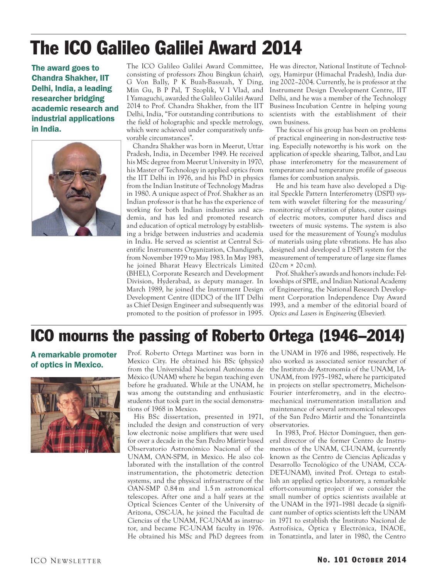# The ICO Galileo Galilei Award 2014

The award goes to Chandra Shakher, IIT Delhi, India, a leading researcher bridging academic research and industrial applications in India.



The ICO Galileo Galilei Award Committee, He was director, National Institute of Technolconsisting of professors Zhou Bingkun (chair), G Von Bally, P K Buah-Bassuah, Y Ding, Min Gu, B P Pal, T Szoplik, V I Vlad, and I Yamaguchi, awarded the Galileo Galilei Award 2014 to Prof. Chandra Shakher, from the IIT Delhi, India, "For outstanding contributions to the field of holographic and speckle metrology, which were achieved under comparatively unfavorable circumstances".

Chandra Shakher was born in Meerut, Uttar Pradesh, India, in December 1949. He received his MSc degree from Meerut University in 1970, his Master of Technology in applied optics from the IIT Delhi in 1976, and his PhD in physics from the Indian Institute of Technology Madras in 1980. A unique aspect of Prof. Shakher as an Indian professor is that he has the experience of working for both Indian industries and academia, and has led and promoted research and education of optical metrology by establishing a bridge between industries and academia in India. He served as scientist at Central Scientific Instruments Organization, Chandigarh, from November 1979 to May 1983. In May 1983, he joined Bharat Heavy Electricals Limited (BHEL), Corporate Research and Development Division, Hyderabad, as deputy manager. In March 1989, he joined the Instrument Design Development Centre (IDDC) of the IIT Delhi as Chief Design Engineer and subsequently was promoted to the position of professor in 1995.

ogy, Hamirpur (Himachal Pradesh), India during 2002–2004. Currently, he is professor at the Instrument Design Development Centre, IIT Delhi, and he was a member of the Technology Business Incubation Centre in helping young scientists with the establishment of their own business.

The focus of his group has been on problems of practical engineering in non-destructive testing. Especially noteworthy is his work on the application of speckle shearing, Talbot, and Lau phase interferometry for the measurement of temperature and temperature profile of gaseous flames for combustion analysis.

He and his team have also developed a Digital Speckle Pattern Interferometry (DSPI) system with wavelet filtering for the measuring/ monitoring of vibration of plates, outer casings of electric motors, computer hard discs and tweeters of music systems. The system is also used for the measurement of Young's modulus of materials using plate vibrations. He has also designed and developed a DSPI system for the measurement of temperature of large size flames  $(20 \text{ cm} \times 20 \text{ cm})$ .

Prof. Shakher's awards and honors include: Fellowships of SPIE, and Indian National Academy of Engineering, the National Research Development Corporation Independence Day Award 1993, and a member of the editorial board of *Optics and Lasers in Engineering* (Elsevier).

## ICO mourns the passing of Roberto Ortega (1946–2014)

A remarkable promoter of optics in Mexico.



Prof. Roberto Ortega Martínez was born in Mexico City. He obtained his BSc (physics) from the Universidad Nacional Autónoma de México (UNAM) where he began teaching even before he graduated. While at the UNAM, he was among the outstanding and enthusiastic students that took part in the social demonstrations of 1968 in Mexico.

His BSc dissertation, presented in 1971, included the design and construction of very low electronic noise amplifiers that were used for over a decade in the San Pedro Mártir based Observatorio Astronómico Nacional of the UNAM, OAN-SPM, in Mexico. He also collaborated with the installation of the control instrumentation, the photometric detection systems, and the physical infrastructure of the OAN-SMP 0.84 m and 1.5 m astronomical telescopes. After one and a half years at the Optical Sciences Center of the University of Arizona, OSC-UA, he joined the Facultad de Ciencias of the UNAM, FC-UNAM as instructor, and became FC-UNAM faculty in 1976. Astrofísica, Óptica y Electrónica, INAOE,

the UNAM in 1976 and 1986, respectively. He also worked as associated senior researcher of the Instituto de Astronomía of the UNAM, IA-UNAM, from 1975–1982, where he participated in projects on stellar spectrometry, Michelson-Fourier interferometry, and in the electromechanical instrumentation installation and maintenance of several astronomical telescopes of the San Pedro Mártir and the Tonantzintla observatories.

He obtained his MSc and PhD degrees from in Tonatzintla, and later in 1980, the Centro In 1983, Prof. Héctor Domínguez, then general director of the former Centro de Instrumentos of the UNAM, CI-UNAM, (currently known as the Centro de Ciencias Aplicadas y Desarrollo Tecnológico of the UNAM, CCA-DET-UNAM), invited Prof. Ortega to establish an applied optics laboratory, a remarkable effort-consuming project if we consider the small number of optics scientists available at the UNAM in the 1971–1981 decade (a significant number of optics scientists left the UNAM in 1971 to establish the Instituto Nacional de